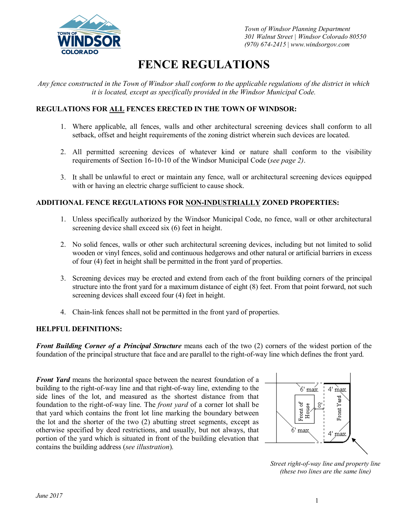

*Town of Windsor Planning Department 301 Walnut Street | Windsor Colorado 80550 (970) 674-2415 | www.windsorgov.com*

# **FENCE REGULATIONS**

Any fence constructed in the Town of Windsor shall conform to the applicable regulations of the district in which *it is located, except as specifically provided in the Windsor Municipal Code.* 

## **REGULATIONS FOR ALL FENCES ERECTED IN THE TOWN OF WINDSOR:**

- 1. Where applicable, all fences, walls and other architectural screening devices shall conform to all setback, offset and height requirements of the zoning district wherein such devices are located.
- 2. All permitted screening devices of whatever kind or nature shall conform to the visibility requirements of Section 16-10-10 of the Windsor Municipal Code (*see page 2)*.
- 3. It shall be unlawful to erect or maintain any fence, wall or architectural screening devices equipped with or having an electric charge sufficient to cause shock.

### **ADDITIONAL FENCE REGULATIONS FOR NON-INDUSTRIALLY ZONED PROPERTIES:**

- 1. Unless specifically authorized by the Windsor Municipal Code, no fence, wall or other architectural screening device shall exceed six (6) feet in height.
- 2. No solid fences, walls or other such architectural screening devices, including but not limited to solid wooden or vinyl fences, solid and continuous hedgerows and other natural or artificial barriers in excess of four (4) feet in height shall be permitted in the front yard of properties.
- 3. Screening devices may be erected and extend from each of the front building corners of the principal structure into the front yard for a maximum distance of eight (8) feet. From that point forward, not such screening devices shall exceed four (4) feet in height.
- 4. Chain-link fences shall not be permitted in the front yard of properties.

#### **HELPFUL DEFINITIONS:**

*Front Building Corner of a Principal Structure* means each of the two (2) corners of the widest portion of the foundation of the principal structure that face and are parallel to the right-of-way line which defines the front yard.

*Front Yard* means the horizontal space between the nearest foundation of a building to the right-of-way line and that right-of-way line, extending to the side lines of the lot, and measured as the shortest distance from that foundation to the right-of-way line. The *front yard* of a corner lot shall be that yard which contains the front lot line marking the boundary between the lot and the shorter of the two (2) abutting street segments, except as otherwise specified by deed restrictions, and usually, but not always, that portion of the yard which is situated in front of the building elevation that contains the building address (*see illustration*).



*Street right-of-way line and property line (these two lines are the same line)*